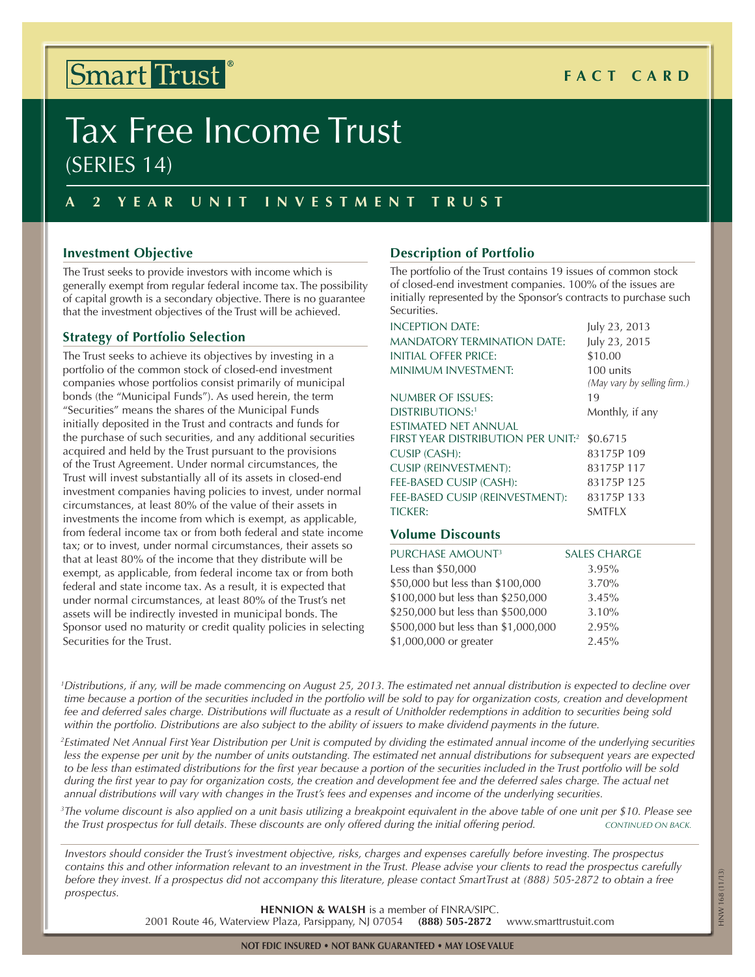## Smart Trust<sup>®</sup>

## **Fact C ard**

# Tax Free Income Trust (Series 14)

### **A 2 Y ear Uni t I nv e s t m e n t T r u s t**

#### **Investment Objective**

The Trust seeks to provide investors with income which is generally exempt from regular federal income tax. The possibility of capital growth is a secondary objective. There is no guarantee that the investment objectives of the Trust will be achieved.

#### **Strategy of Portfolio Selection**

The Trust seeks to achieve its objectives by investing in a portfolio of the common stock of closed-end investment companies whose portfolios consist primarily of municipal bonds (the "Municipal Funds"). As used herein, the term "Securities" means the shares of the Municipal Funds initially deposited in the Trust and contracts and funds for the purchase of such securities, and any additional securities acquired and held by the Trust pursuant to the provisions of the Trust Agreement. Under normal circumstances, the Trust will invest substantially all of its assets in closed-end investment companies having policies to invest, under normal circumstances, at least 80% of the value of their assets in investments the income from which is exempt, as applicable, from federal income tax or from both federal and state income tax; or to invest, under normal circumstances, their assets so that at least 80% of the income that they distribute will be exempt, as applicable, from federal income tax or from both federal and state income tax. As a result, it is expected that under normal circumstances, at least 80% of the Trust's net assets will be indirectly invested in municipal bonds. The Sponsor used no maturity or credit quality policies in selecting Securities for the Trust.

#### **Description of Portfolio**

The portfolio of the Trust contains 19 issues of common stock of closed-end investment companies. 100% of the issues are initially represented by the Sponsor's contracts to purchase such Securities.

| INCEPTION DATE:                                | July 23, 2013               |
|------------------------------------------------|-----------------------------|
| <b>MANDATORY TERMINATION DATE:</b>             | July 23, 2015               |
| INITIAL OFFER PRICE:                           | \$10.00                     |
| <b>MINIMUM INVESTMENT:</b>                     | 100 units                   |
|                                                | (May vary by selling firm.) |
| NUMBER OF ISSUES:                              | 19                          |
| <b>DISTRIBUTIONS:1</b>                         | Monthly, if any             |
| ESTIMATED NET ANNUAL                           |                             |
| FIRST YEAR DISTRIBUTION PER UNIT: <sup>2</sup> | \$0.6715                    |
| CUSIP (CASH):                                  | 83175P109                   |
| <b>CUSIP (REINVESTMENT):</b>                   | 83175P117                   |
| FEE-BASED CUSIP (CASH):                        | 83175P125                   |
| FEE-BASED CUSIP (REINVESTMENT):                | 83175P133                   |
| <b>TICKER:</b>                                 | <b>SMTFLX</b>               |

#### **Volume Discounts**

| PURCHASE AMOUNT <sup>3</sup>        | <b>SALES CHARGE</b> |
|-------------------------------------|---------------------|
| Less than \$50,000                  | 3.95%               |
| \$50,000 but less than \$100,000    | 3.70%               |
| \$100,000 but less than \$250,000   | 3.45%               |
| \$250,000 but less than \$500,000   | 3.10%               |
| \$500,000 but less than \$1,000,000 | 2.95%               |
| \$1,000,000 or greater              | 2.45%               |

<sup>1</sup>Distributions, if any, will be made commencing on August 25, 2013. The estimated net annual distribution is expected to decline over time because a portion of the securities included in the portfolio will be sold to pay for organization costs, creation and development fee and deferred sales charge. Distributions will fluctuate as a result of Unitholder redemptions in addition to securities being sold within the portfolio. Distributions are also subject to the ability of issuers to make dividend payments in the future.

<sup>2</sup>Estimated Net Annual First Year Distribution per Unit is computed by dividing the estimated annual income of the underlying securities less the expense per unit by the number of units outstanding. The estimated net annual distributions for subsequent years are expected to be less than estimated distributions for the first year because a portion of the securities included in the Trust portfolio will be sold during the first year to pay for organization costs, the creation and development fee and the deferred sales charge. The actual net annual distributions will vary with changes in the Trust's fees and expenses and income of the underlying securities.

 $^3$ The volume discount is also applied on a unit basis utilizing a breakpoint equivalent in the above table of one unit per \$10. Please see  $\,$ the Trust prospectus for full details. These discounts are only offered during the initial offering period. CONTINUED ON BACK.

Investors should consider the Trust's investment objective, risks, charges and expenses carefully before investing. The prospectus contains this and other information relevant to an investment in the Trust. Please advise your clients to read the prospectus carefully before they invest. If a prospectus did not accompany this literature, please contact SmartTrust at (888) 505-2872 to obtain a free *prospectus.*

**HENNION & WALSH** is a member of FINRA/SIPC.<br> **EXECUTE:** Parsippany, NJ 07054 (888) 505-2872

2001 Route 46, Waterview Plaza, Parsippany, NJ 07054 **(888) 505-2872** www.smarttrustuit.com

HNW 168 (11/13)

HNW 168 (11/13)